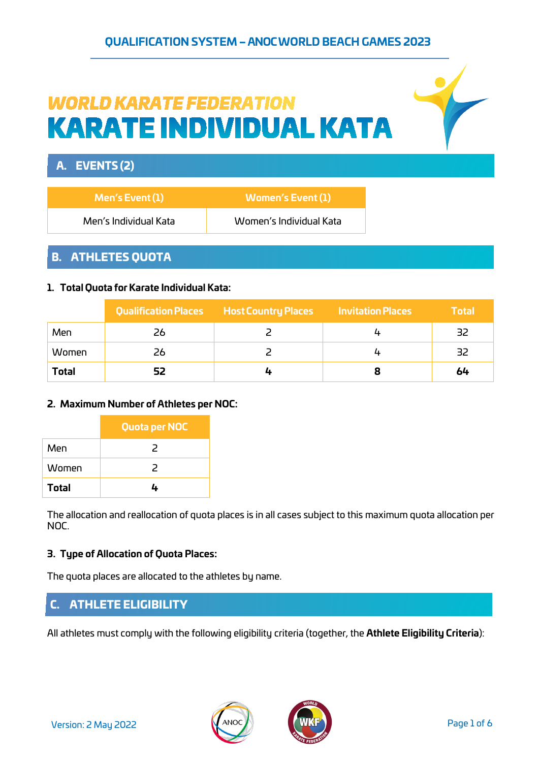## **QUALIFICATION SYSTEM – ANOC WORLD BEACH GAMES 2023**

# **WORLD KARATE FEDERATION KARATE INDIVIDUAL KATA**

# A. EVENTS (2)

| Men's Event (1)       | Women's Event (1)       |
|-----------------------|-------------------------|
| Men's Individual Kata | Women's Individual Kata |

# B. ATHLETES QUOTA

#### **1. Total Quota forKarate Individual Kata:**

|              |    | Qualification Places Host Country Places | <b>Invitation Places</b> | <b>Total</b> |
|--------------|----|------------------------------------------|--------------------------|--------------|
| Men          | 26 |                                          |                          | -32          |
| Women        | 26 |                                          |                          | -32          |
| <b>Total</b> | 52 |                                          |                          | 64           |

#### **2. Maximum Number of Athletes per NOC:**

|              | Quota per NOC |
|--------------|---------------|
| Men          | 2             |
| Women        | 2             |
| <b>Total</b> |               |

The allocation and reallocation of quota places is in all cases subject to this maximum quota allocation per NOC.

#### **3. Type of Allocation of Quota Places:**

The quota places are allocated to the athletes by name.

# C. ATHLETE ELIGIBILITY

All athletes must comply with the following eligibility criteria (together, the **Athlete Eligibility Criteria**):



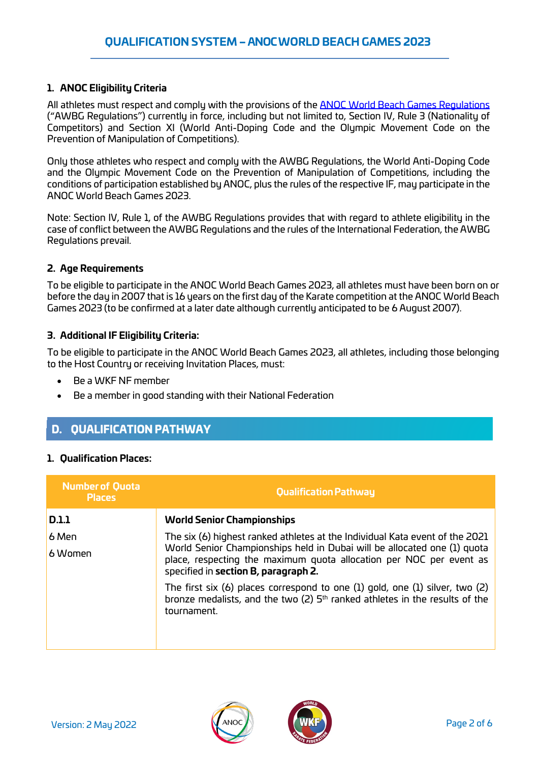#### **1. ANOC Eligibility Criteria**

All athletes must respect and comply with the provisions of the **ANOC World Beach Games Regulations** ("AWBG Regulations") currently in force, including but not limited to, Section IV, Rule 3 (Nationality of Competitors) and Section XI (World Anti-Doping Code and the Olympic Movement Code on the Prevention of Manipulation of Competitions).

Only those athletes who respect and comply with the AWBG Regulations, the World Anti-Doping Code and the Olympic Movement Code on the Prevention of Manipulation of Competitions, including the conditions of participation established by ANOC, plus the rules of the respective IF, may participate in the ANOC World Beach Games 2023.

Note: Section IV, Rule 1, of the AWBG Regulations provides that with regard to athlete eligibility in the case of conflict between the AWBG Regulations and the rules of the International Federation, the AWBG Regulations prevail.

#### **2. Age Requirements**

To be eligible to participate in the ANOC World Beach Games 2023, all athletes must have been born on or before the day in 2007 that is 16 years on the first day of the Karate competition at the ANOC World Beach Games 2023 (to be confirmed at a later date although currently anticipated to be 6 August 2007).

#### **3. Additional IF Eligibility Criteria:**

To be eligible to participate in the ANOC World Beach Games 2023, all athletes, including those belonging to the Host Country or receiving Invitation Places, must:

- Be a WKF NF member
- Be a member in good standing with their National Federation

## D. QUALIFICATION PATHWAY

#### **1. Qualification Places:**

| <b>Qualification Pathway</b>                                                                                                                                                            |
|-----------------------------------------------------------------------------------------------------------------------------------------------------------------------------------------|
| <b>World Senior Championships</b>                                                                                                                                                       |
| The six (6) highest ranked athletes at the Individual Kata event of the 2021                                                                                                            |
| World Senior Championships held in Dubai will be allocated one (1) quota<br>place, respecting the maximum quota allocation per NOC per event as<br>specified in section B, paragraph 2. |
| The first six $(6)$ places correspond to one $(1)$ gold, one $(1)$ silver, two $(2)$<br>bronze medalists, and the two (2) $5th$ ranked athletes in the results of the<br>tournament.    |
|                                                                                                                                                                                         |



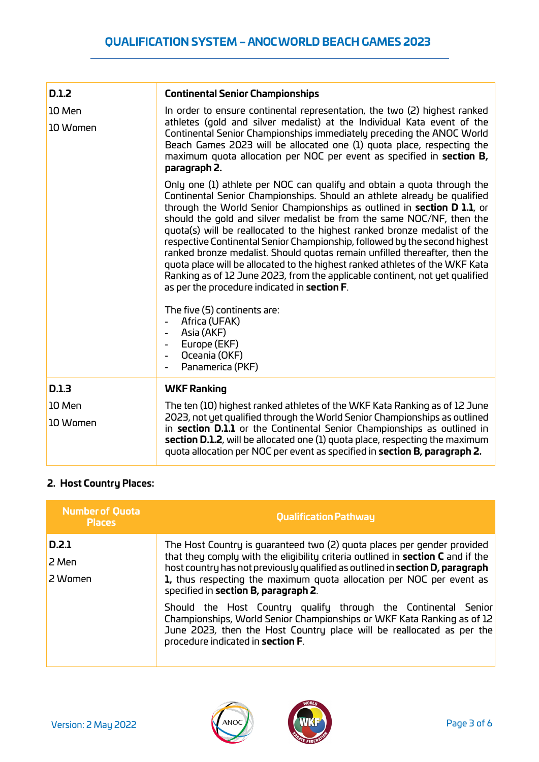| D.1.2              | <b>Continental Senior Championships</b>                                                                                                                                                                                                                                                                                                                                                                                                                                                                                                                                                                                                                                                                                                                          |
|--------------------|------------------------------------------------------------------------------------------------------------------------------------------------------------------------------------------------------------------------------------------------------------------------------------------------------------------------------------------------------------------------------------------------------------------------------------------------------------------------------------------------------------------------------------------------------------------------------------------------------------------------------------------------------------------------------------------------------------------------------------------------------------------|
| 10 Men<br>10 Women | In order to ensure continental representation, the two (2) highest ranked<br>athletes (gold and silver medalist) at the Individual Kata event of the<br>Continental Senior Championships immediately preceding the ANOC World<br>Beach Games 2023 will be allocated one (1) quota place, respecting the<br>maximum quota allocation per NOC per event as specified in section B,<br>paragraph 2.                                                                                                                                                                                                                                                                                                                                                                 |
|                    | Only one (1) athlete per NOC can qualify and obtain a quota through the<br>Continental Senior Championships. Should an athlete already be qualified<br>through the World Senior Championships as outlined in section D 1.1, or<br>should the gold and silver medalist be from the same NOC/NF, then the<br>quota(s) will be reallocated to the highest ranked bronze medalist of the<br>respective Continental Senior Championship, followed by the second highest<br>ranked bronze medalist. Should quotas remain unfilled thereafter, then the<br>quota place will be allocated to the highest ranked athletes of the WKF Kata<br>Ranking as of 12 June 2023, from the applicable continent, not yet qualified<br>as per the procedure indicated in section F. |
|                    | The five (5) continents are:<br>Africa (UFAK)<br>Asia (AKF)<br>$\overline{\phantom{a}}$<br>Europe (EKF)<br>$\overline{\phantom{a}}$<br>Oceania (OKF)<br>$\overline{\phantom{0}}$<br>Panamerica (PKF)<br>$\blacksquare$                                                                                                                                                                                                                                                                                                                                                                                                                                                                                                                                           |
| D.1.3              | <b>WKF Ranking</b>                                                                                                                                                                                                                                                                                                                                                                                                                                                                                                                                                                                                                                                                                                                                               |
| 10 Men<br>10 Women | The ten (10) highest ranked athletes of the WKF Kata Ranking as of 12 June<br>2023, not yet qualified through the World Senior Championships as outlined<br>in section D.1.1 or the Continental Senior Championships as outlined in<br>section D.1.2, will be allocated one (1) quota place, respecting the maximum<br>quota allocation per NOC per event as specified in section B, paragraph 2.                                                                                                                                                                                                                                                                                                                                                                |

## **2. Host Country Places:**

| <b>Number of Quota</b><br><b>Places</b> | <b>Qualification Pathway</b>                                                                                                                                                                                                                                                                                                                                |
|-----------------------------------------|-------------------------------------------------------------------------------------------------------------------------------------------------------------------------------------------------------------------------------------------------------------------------------------------------------------------------------------------------------------|
| D.2.1<br>2 Men<br>2 Women               | The Host Country is quaranteed two (2) quota places per gender provided<br>that they comply with the eligibility criteria outlined in section C and if the<br>host country has not previously qualified as outlined in section D, paragraph<br>1, thus respecting the maximum quota allocation per NOC per event as<br>specified in section B, paragraph 2. |
|                                         | Should the Host Country qualify through the Continental Senior<br>Championships, World Senior Championships or WKF Kata Ranking as of 12<br>June 2023, then the Host Country place will be reallocated as per the<br>procedure indicated in section F.                                                                                                      |



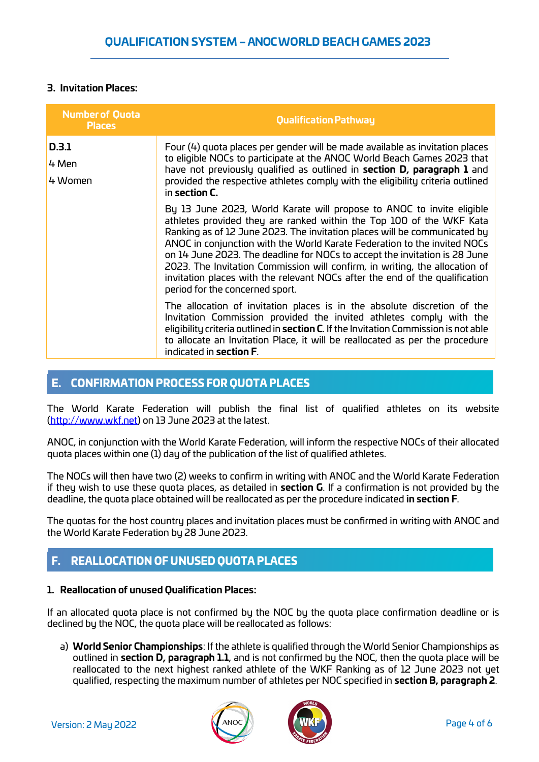#### **3. Invitation Places:**

| <b>Number of Quota</b><br><b>Places</b> | <b>Qualification Pathway</b>                                                                                                                                                                                                                                                                                                                                                                                                                                                                                                                                                          |
|-----------------------------------------|---------------------------------------------------------------------------------------------------------------------------------------------------------------------------------------------------------------------------------------------------------------------------------------------------------------------------------------------------------------------------------------------------------------------------------------------------------------------------------------------------------------------------------------------------------------------------------------|
| D.3.1<br>4 Men<br>4 Women               | Four (4) quota places per gender will be made available as invitation places<br>to eligible NOCs to participate at the ANOC World Beach Games 2023 that<br>have not previously qualified as outlined in section D, paragraph 1 and<br>provided the respective athletes comply with the eligibility criteria outlined<br>in section C.                                                                                                                                                                                                                                                 |
|                                         | By 13 June 2023, World Karate will propose to ANOC to invite eligible<br>athletes provided they are ranked within the Top 100 of the WKF Kata<br>Ranking as of 12 June 2023. The invitation places will be communicated by<br>ANOC in conjunction with the World Karate Federation to the invited NOCs<br>on 14 June 2023. The deadline for NOCs to accept the invitation is 28 June<br>2023. The Invitation Commission will confirm, in writing, the allocation of<br>invitation places with the relevant NOCs after the end of the qualification<br>period for the concerned sport. |
|                                         | The allocation of invitation places is in the absolute discretion of the<br>Invitation Commission provided the invited athletes comply with the<br>eligibility criteria outlined in section C. If the Invitation Commission is not able<br>to allocate an Invitation Place, it will be reallocated as per the procedure<br>indicated in <b>section F</b> .                                                                                                                                                                                                                            |

### E. CONFIRMATION PROCESS FOR QUOTA PLACES

The World Karate Federation will publish the final list of qualified athletes on its website [\(http://www.wkf.net\)](http://www.wkf.net/) on 13 June 2023 at the latest.

ANOC, in conjunction with the World Karate Federation, will inform the respective NOCs of their allocated quota places within one (1) day of the publication of the list of qualified athletes.

The NOCs will then have two (2) weeks to confirm in writing with ANOC and the World Karate Federation if they wish to use these quota places, as detailed in **section G**. If a confirmation is not provided by the deadline, the quota place obtained will be reallocated as per the procedure indicated **in section F**.

The quotas for the host country places and invitation places must be confirmed in writing with ANOC and the World Karate Federation by 28 June 2023.

# F. REALLOCATION OF UNUSED QUOTA PLACES

#### **1. Reallocation of unused Qualification Places:**

If an allocated quota place is not confirmed by the NOC by the quota place confirmation deadline or is declined by the NOC, the quota place will be reallocated as follows:

a) **World Senior Championships**: If the athlete is qualified through the World Senior Championships as outlined in **section D, paragraph 1.1**, and is not confirmed by the NOC, then the quota place will be reallocated to the next highest ranked athlete of the WKF Ranking as of 12 June 2023 not yet qualified, respecting the maximum number of athletes per NOC specified in **section B, paragraph 2**.



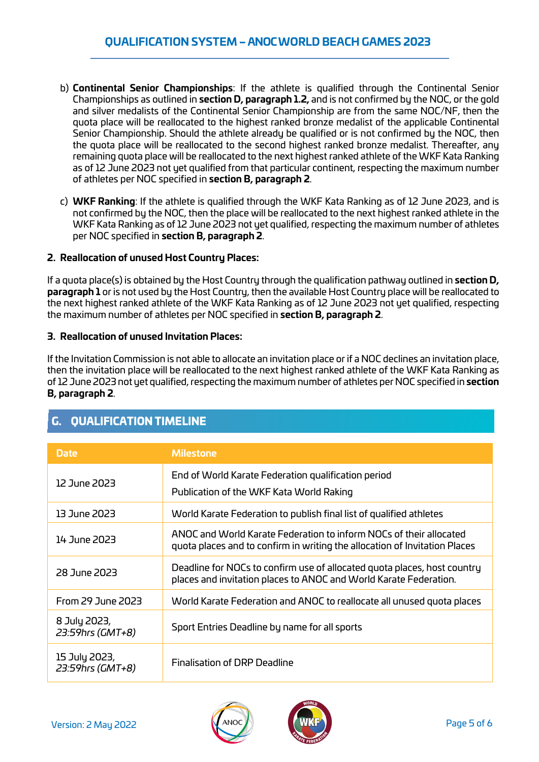- b) **Continental Senior Championships**: If the athlete is qualified through the Continental Senior Championships as outlined in **section D, paragraph 1.2,** and is not confirmed by the NOC, or the gold and silver medalists of the Continental Senior Championship are from the same NOC/NF, then the quota place will be reallocated to the highest ranked bronze medalist of the applicable Continental Senior Championship. Should the athlete already be qualified or is not confirmed by the NOC, then the quota place will be reallocated to the second highest ranked bronze medalist. Thereafter, any remaining quota place will be reallocated to the next highest ranked athlete of the WKF Kata Ranking as of 12 June 2023 not yet qualified from that particular continent, respecting the maximum number of athletes per NOC specified in **section B, paragraph 2**.
- c) **WKF Ranking**: If the athlete is qualified through the WKF Kata Ranking as of 12 June 2023, and is not confirmed by the NOC, then the place will be reallocated to the next highest ranked athlete in the WKF Kata Ranking as of 12 June 2023 not yet qualified, respecting the maximum number of athletes per NOC specified in **section B, paragraph 2**.

#### **2. Reallocation of unused Host Country Places:**

If a quota place(s) is obtained by the Host Country through the qualification pathway outlined in **section D, paragraph 1** or is not used by the Host Country, then the available Host Country place will be reallocated to the next highest ranked athlete of the WKF Kata Ranking as of 12 June 2023 not yet qualified, respecting the maximum number of athletes per NOC specified in **section B, paragraph 2**.

#### **3. Reallocation of unused Invitation Places:**

If the Invitation Commission is not able to allocate an invitation place or if a NOC declines an invitation place, then the invitation place will be reallocated to the next highest ranked athlete of the WKF Kata Ranking as of 12 June 2023 not yet qualified, respecting the maximum number of athletes per NOC specified in **section B, paragraph 2**.

| <b>Date</b>                       | <b>Milestone</b>                                                                                                                                 |
|-----------------------------------|--------------------------------------------------------------------------------------------------------------------------------------------------|
| 12 June 2023                      | End of World Karate Federation qualification period                                                                                              |
|                                   | Publication of the WKF Kata World Raking                                                                                                         |
| 13 June 2023                      | World Karate Federation to publish final list of qualified athletes                                                                              |
| 14 June 2023                      | ANOC and World Karate Federation to inform NOCs of their allocated<br>quota places and to confirm in writing the allocation of Invitation Places |
| 28 June 2023                      | Deadline for NOCs to confirm use of allocated quota places, host country<br>places and invitation places to ANOC and World Karate Federation.    |
| <b>From 29 June 2023</b>          | World Karate Federation and ANOC to reallocate all unused quota places                                                                           |
| 8 July 2023,<br>23:59hrs (GMT+8)  | Sport Entries Deadline by name for all sports                                                                                                    |
| 15 July 2023,<br>23:59hrs (GMT+8) | Finalisation of DRP Deadline                                                                                                                     |

# G. QUALIFICATION TIMELINE